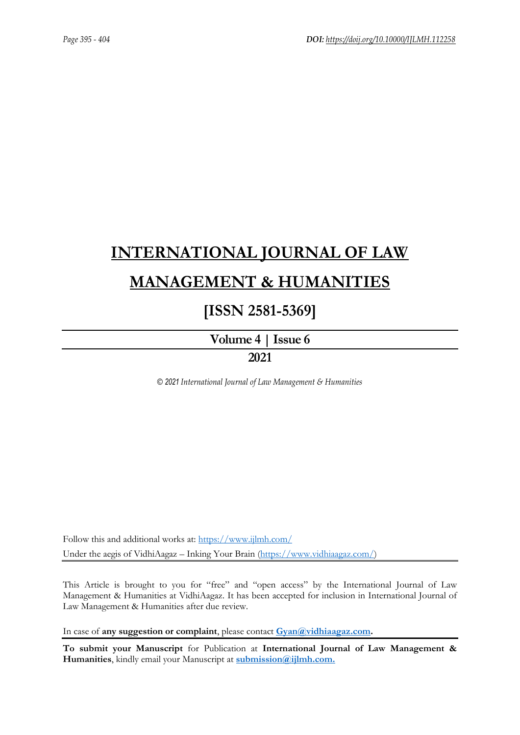# **[INTERNATIONAL JOURNAL OF LAW](https://www.ijlmh.com/)  [MANAGEMENT & HUMANITIES](https://www.ijlmh.com/)**

# **[ISSN 2581-5369]**

**[Volume 4 |](https://www.ijlmh.com/publications/volume-iv-issue-vi/) Issue 6**

# **2021**

*© 2021 International Journal of Law Management & Humanities*

Follow this and additional works at:<https://www.ijlmh.com/> Under the aegis of VidhiAagaz – Inking Your Brain [\(https://www.vidhiaagaz.com/\)](https://www.vidhiaagaz.com/)

This Article is brought to you for "free" and "open access" by the International Journal of Law Management & Humanities at VidhiAagaz. It has been accepted for inclusion in International Journal of Law Management & Humanities after due review.

In case of **any suggestion or complaint**, please contact **[Gyan@vidhiaagaz.com.](mailto:Gyan@vidhiaagaz.com)** 

**To submit your Manuscript** for Publication at **International Journal of Law Management & Humanities**, kindly email your Manuscript at **[submission@ijlmh.com.](mailto:submission@ijlmh.com)**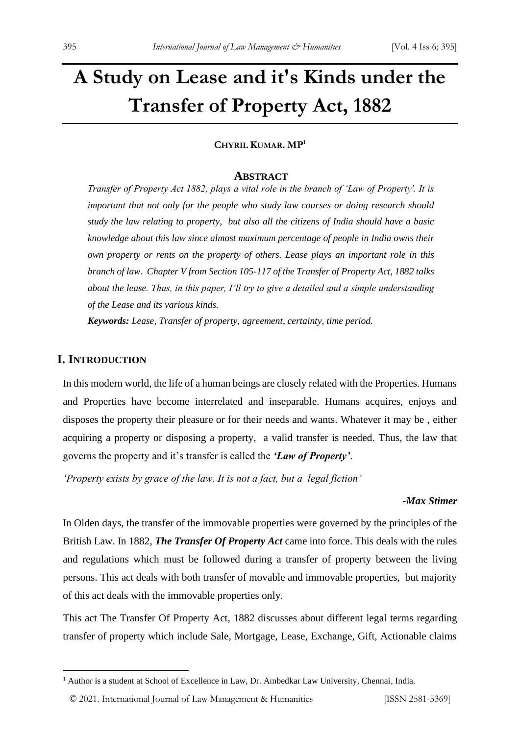# **A Study on Lease and it's Kinds under the Transfer of Property Act, 1882**

#### **CHYRIL KUMAR. MP<sup>1</sup>**

#### **ABSTRACT**

*Transfer of Property Act 1882, plays a vital role in the branch of 'Law of Property'. It is important that not only for the people who study law courses or doing research should study the law relating to property, but also all the citizens of India should have a basic knowledge about this law since almost maximum percentage of people in India owns their own property or rents on the property of others. Lease plays an important role in this branch of law. Chapter V from Section 105-117 of the Transfer of Property Act, 1882 talks about the lease. Thus, in this paper, I'll try to give a detailed and a simple understanding of the Lease and its various kinds.*

*Keywords: Lease, Transfer of property, agreement, certainty, time period.*

# **I. INTRODUCTION**

In this modern world, the life of a human beings are closely related with the Properties. Humans and Properties have become interrelated and inseparable. Humans acquires, enjoys and disposes the property their pleasure or for their needs and wants. Whatever it may be , either acquiring a property or disposing a property, a valid transfer is needed. Thus, the law that governs the property and it's transfer is called the *'Law of Property'*.

*'Property exists by grace of the law. It is not a fact, but a legal fiction'*

#### *-Max Stimer*

In Olden days, the transfer of the immovable properties were governed by the principles of the British Law. In 1882, *The Transfer Of Property Act* came into force. This deals with the rules and regulations which must be followed during a transfer of property between the living persons. This act deals with both transfer of movable and immovable properties, but majority of this act deals with the immovable properties only.

This act The Transfer Of Property Act, 1882 discusses about different legal terms regarding transfer of property which include Sale, Mortgage, Lease, Exchange, Gift, Actionable claims

© 2021. International Journal of [Law Management & Humanities](https://www.ijlmh.com/) [ISSN 2581-5369]

<sup>&</sup>lt;sup>1</sup> Author is a student at School of Excellence in Law, Dr. Ambedkar Law University, Chennai, India.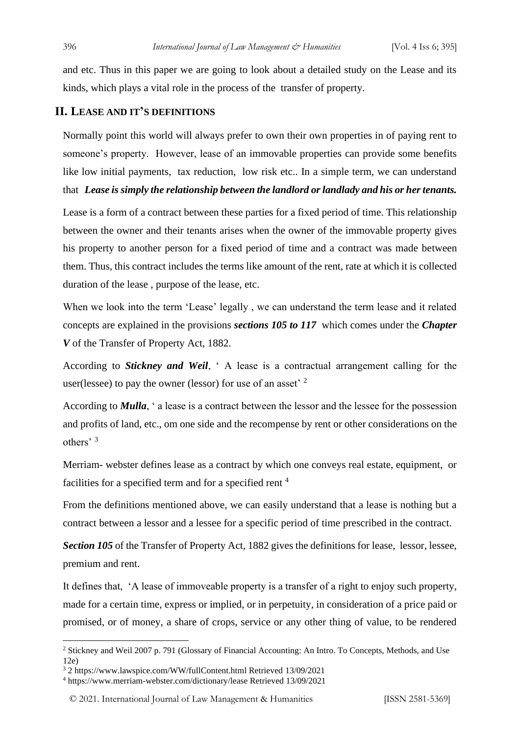and etc. Thus in this paper we are going to look about a detailed study on the Lease and its kinds, which plays a vital role in the process of the transfer of property.

# **II. LEASE AND IT'S DEFINITIONS**

Normally point this world will always prefer to own their own properties in of paying rent to someone's property. However, lease of an immovable properties can provide some benefits like low initial payments, tax reduction, low risk etc.. In a simple term, we can understand that *Lease is simply the relationship between the landlord or landlady and his or her tenants.*

Lease is a form of a contract between these parties for a fixed period of time. This relationship between the owner and their tenants arises when the owner of the immovable property gives his property to another person for a fixed period of time and a contract was made between them. Thus, this contract includes the terms like amount of the rent, rate at which it is collected duration of the lease , purpose of the lease, etc.

When we look into the term 'Lease' legally , we can understand the term lease and it related concepts are explained in the provisions *sections 105 to 117* which comes under the *Chapter V* of the Transfer of Property Act, 1882.

According to *Stickney and Weil*, ' A lease is a contractual arrangement calling for the user(lessee) to pay the owner (lessor) for use of an asset<sup>2</sup>

According to *Mulla*, ' a lease is a contract between the lessor and the lessee for the possession and profits of land, etc., om one side and the recompense by rent or other considerations on the others' <sup>3</sup>

Merriam- webster defines lease as a contract by which one conveys real estate, equipment, or facilities for a specified term and for a specified rent<sup>4</sup>

From the definitions mentioned above, we can easily understand that a lease is nothing but a contract between a lessor and a lessee for a specific period of time prescribed in the contract.

*Section 105* of the Transfer of Property Act, 1882 gives the definitions for lease, lessor, lessee, premium and rent.

It defines that, 'A lease of immoveable property is a transfer of a right to enjoy such property, made for a certain time, express or implied, or in perpetuity, in consideration of a price paid or promised, or of money, a share of crops, service or any other thing of value, to be rendered

<sup>2</sup> Stickney and Weil 2007 p. 791 (Glossary of Financial Accounting: An Intro. To Concepts, Methods, and Use 12e)

<sup>3</sup> 2 https://www.lawspice.com/WW/fullContent.html Retrieved 13/09/2021

<sup>4</sup> https://www.merriam-webster.com/dictionary/lease Retrieved 13/09/2021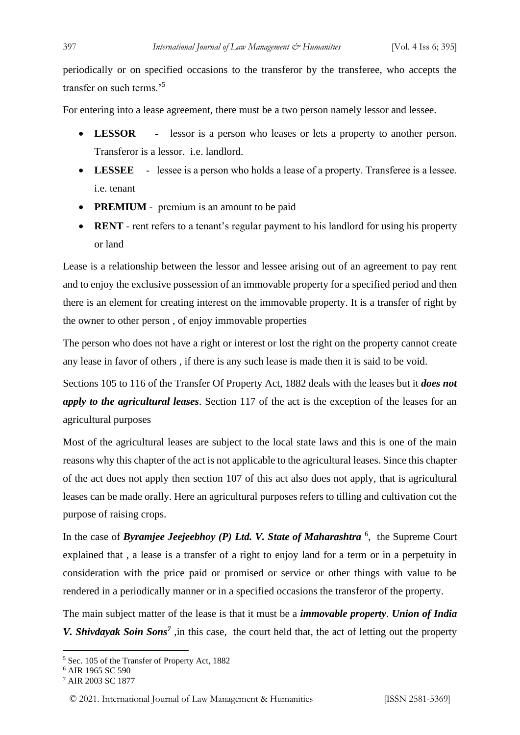periodically or on specified occasions to the transferor by the transferee, who accepts the transfer on such terms.'<sup>5</sup>

For entering into a lease agreement, there must be a two person namely lessor and lessee.

- **LESSOR** lessor is a person who leases or lets a property to another person. Transferor is a lessor. i.e. landlord.
- LESSEE lessee is a person who holds a lease of a property. Transferee is a lessee. i.e. tenant
- **PREMIUM** premium is an amount to be paid
- **RENT** rent refers to a tenant's regular payment to his landlord for using his property or land

Lease is a relationship between the lessor and lessee arising out of an agreement to pay rent and to enjoy the exclusive possession of an immovable property for a specified period and then there is an element for creating interest on the immovable property. It is a transfer of right by the owner to other person , of enjoy immovable properties

The person who does not have a right or interest or lost the right on the property cannot create any lease in favor of others , if there is any such lease is made then it is said to be void.

Sections 105 to 116 of the Transfer Of Property Act, 1882 deals with the leases but it *does not apply to the agricultural leases*. Section 117 of the act is the exception of the leases for an agricultural purposes

Most of the agricultural leases are subject to the local state laws and this is one of the main reasons why this chapter of the act is not applicable to the agricultural leases. Since this chapter of the act does not apply then section 107 of this act also does not apply, that is agricultural leases can be made orally. Here an agricultural purposes refers to tilling and cultivation cot the purpose of raising crops.

In the case of *Byramjee Jeejeebhoy (P) Ltd. V. State of Maharashtra*<sup>6</sup>, the Supreme Court explained that , a lease is a transfer of a right to enjoy land for a term or in a perpetuity in consideration with the price paid or promised or service or other things with value to be rendered in a periodically manner or in a specified occasions the transferor of the property.

The main subject matter of the lease is that it must be a *immovable property*. *Union of India V. Shivdayak Soin Sons<sup>7</sup>*, in this case, the court held that, the act of letting out the property

<sup>5</sup> Sec. 105 of the Transfer of Property Act, 1882

<sup>6</sup> AIR 1965 SC 590

<sup>7</sup> AIR 2003 SC 1877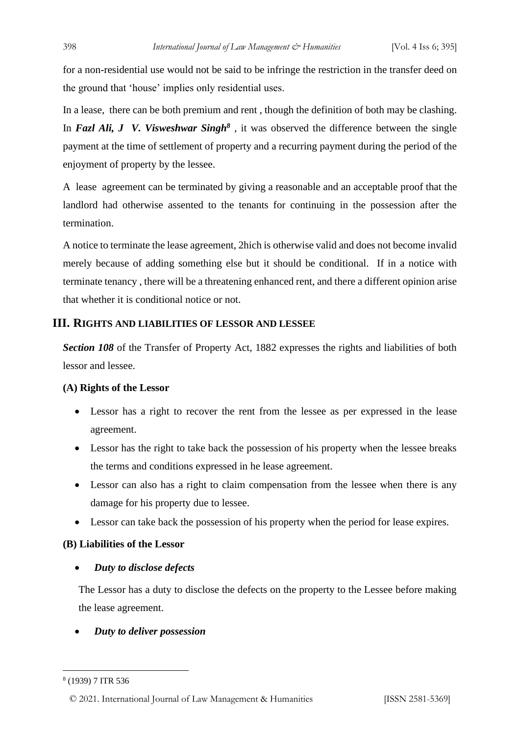for a non-residential use would not be said to be infringe the restriction in the transfer deed on the ground that 'house' implies only residential uses.

In a lease, there can be both premium and rent , though the definition of both may be clashing. In *Fazl Ali, J V. Visweshwar Singh<sup>8</sup>* , it was observed the difference between the single payment at the time of settlement of property and a recurring payment during the period of the enjoyment of property by the lessee.

A lease agreement can be terminated by giving a reasonable and an acceptable proof that the landlord had otherwise assented to the tenants for continuing in the possession after the termination.

A notice to terminate the lease agreement, 2hich is otherwise valid and does not become invalid merely because of adding something else but it should be conditional. If in a notice with terminate tenancy , there will be a threatening enhanced rent, and there a different opinion arise that whether it is conditional notice or not.

## **III. RIGHTS AND LIABILITIES OF LESSOR AND LESSEE**

*Section 108* of the Transfer of Property Act, 1882 expresses the rights and liabilities of both lessor and lessee.

#### **(A) Rights of the Lessor**

- Lessor has a right to recover the rent from the lessee as per expressed in the lease agreement.
- Lessor has the right to take back the possession of his property when the lessee breaks the terms and conditions expressed in he lease agreement.
- Lessor can also has a right to claim compensation from the lessee when there is any damage for his property due to lessee.
- Lessor can take back the possession of his property when the period for lease expires.

#### **(B) Liabilities of the Lessor**

• *Duty to disclose defects* 

The Lessor has a duty to disclose the defects on the property to the Lessee before making the lease agreement.

#### • *Duty to deliver possession*

```
8
(1939) 7 ITR 536
```
© 2021. International Journal of [Law Management & Humanities](https://www.ijlmh.com/) [ISSN 2581-5369]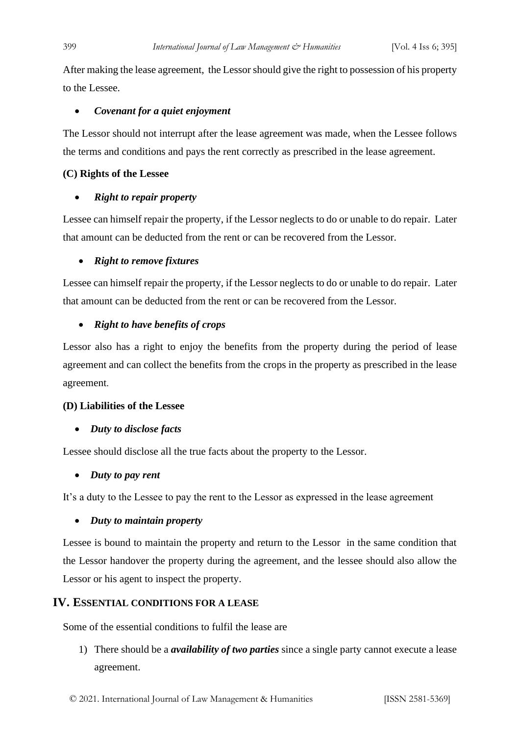After making the lease agreement, the Lessor should give the right to possession of his property to the Lessee.

#### • *Covenant for a quiet enjoyment*

The Lessor should not interrupt after the lease agreement was made, when the Lessee follows the terms and conditions and pays the rent correctly as prescribed in the lease agreement.

#### **(C) Rights of the Lessee**

#### • *Right to repair property*

Lessee can himself repair the property, if the Lessor neglects to do or unable to do repair. Later that amount can be deducted from the rent or can be recovered from the Lessor.

#### • *Right to remove fixtures*

Lessee can himself repair the property, if the Lessor neglects to do or unable to do repair. Later that amount can be deducted from the rent or can be recovered from the Lessor.

#### • *Right to have benefits of crops*

Lessor also has a right to enjoy the benefits from the property during the period of lease agreement and can collect the benefits from the crops in the property as prescribed in the lease agreement.

#### **(D) Liabilities of the Lessee**

#### • *Duty to disclose facts*

Lessee should disclose all the true facts about the property to the Lessor.

#### • *Duty to pay rent*

It's a duty to the Lessee to pay the rent to the Lessor as expressed in the lease agreement

#### • *Duty to maintain property*

Lessee is bound to maintain the property and return to the Lessor in the same condition that the Lessor handover the property during the agreement, and the lessee should also allow the Lessor or his agent to inspect the property.

#### **IV. ESSENTIAL CONDITIONS FOR A LEASE**

Some of the essential conditions to fulfil the lease are

1) There should be a *availability of two parties* since a single party cannot execute a lease agreement.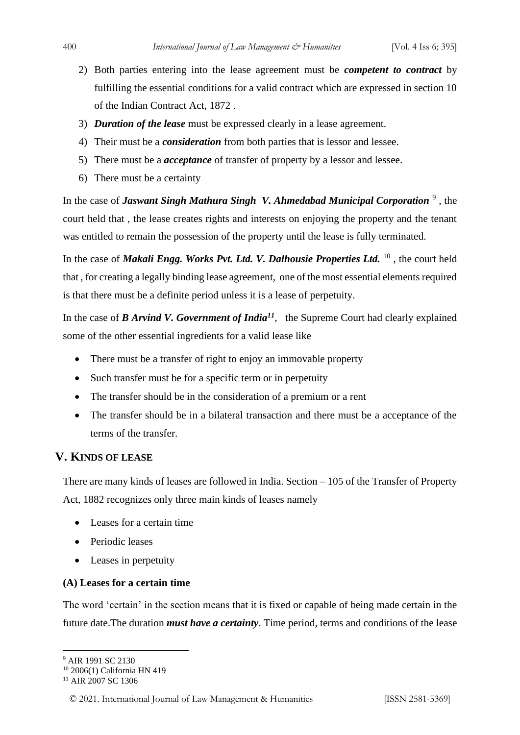- 2) Both parties entering into the lease agreement must be *competent to contract* by fulfilling the essential conditions for a valid contract which are expressed in section 10 of the Indian Contract Act, 1872 .
- 3) *Duration of the lease* must be expressed clearly in a lease agreement.
- 4) Their must be a *consideration* from both parties that is lessor and lessee.
- 5) There must be a *acceptance* of transfer of property by a lessor and lessee.
- 6) There must be a certainty

In the case of *Jaswant Singh Mathura Singh V. Ahmedabad Municipal Corporation*<sup>9</sup>, the court held that , the lease creates rights and interests on enjoying the property and the tenant was entitled to remain the possession of the property until the lease is fully terminated.

In the case of *Makali Engg. Works Pvt. Ltd. V. Dalhousie Properties Ltd.* <sup>10</sup>, the court held that , for creating a legally binding lease agreement, one of the most essential elements required is that there must be a definite period unless it is a lease of perpetuity.

In the case of *B Arvind V. Government of India<sup>11</sup>*, the Supreme Court had clearly explained some of the other essential ingredients for a valid lease like

- There must be a transfer of right to enjoy an immovable property
- Such transfer must be for a specific term or in perpetuity
- The transfer should be in the consideration of a premium or a rent
- The transfer should be in a bilateral transaction and there must be a acceptance of the terms of the transfer.

# **V. KINDS OF LEASE**

There are many kinds of leases are followed in India. Section – 105 of the Transfer of Property Act, 1882 recognizes only three main kinds of leases namely

- Leases for a certain time
- Periodic leases
- Leases in perpetuity

#### **(A) Leases for a certain time**

The word 'certain' in the section means that it is fixed or capable of being made certain in the future date.The duration *must have a certainty*. Time period, terms and conditions of the lease

<sup>&</sup>lt;sup>9</sup> AIR 1991 SC 2130

<sup>10</sup> 2006(1) California HN 419

<sup>&</sup>lt;sup>11</sup> AIR 2007 SC 1306

<sup>© 2021.</sup> International Journal of [Law Management & Humanities](https://www.ijlmh.com/) [ISSN 2581-5369]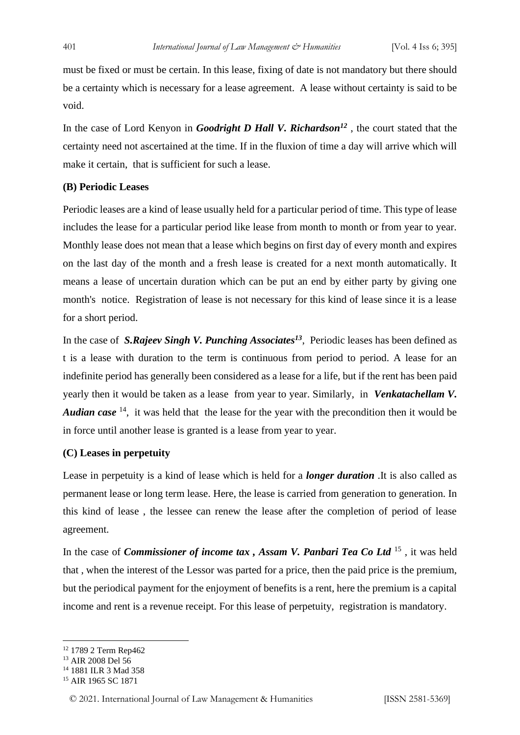must be fixed or must be certain. In this lease, fixing of date is not mandatory but there should be a certainty which is necessary for a lease agreement. A lease without certainty is said to be void.

In the case of Lord Kenyon in *Goodright D Hall V. Richardson<sup>12</sup>* , the court stated that the certainty need not ascertained at the time. If in the fluxion of time a day will arrive which will make it certain, that is sufficient for such a lease.

### **(B) Periodic Leases**

Periodic leases are a kind of lease usually held for a particular period of time. This type of lease includes the lease for a particular period like lease from month to month or from year to year. Monthly lease does not mean that a lease which begins on first day of every month and expires on the last day of the month and a fresh lease is created for a next month automatically. It means a lease of uncertain duration which can be put an end by either party by giving one month's notice. Registration of lease is not necessary for this kind of lease since it is a lease for a short period.

In the case of *S.Rajeev Singh V. Punching Associates<sup>13</sup>*, Periodic leases has been defined as t is a lease with duration to the term is continuous from period to period. A lease for an indefinite period has generally been considered as a lease for a life, but if the rent has been paid yearly then it would be taken as a lease from year to year. Similarly, in *Venkatachellam V. Audian case* <sup>14</sup>, it was held that the lease for the year with the precondition then it would be in force until another lease is granted is a lease from year to year.

#### **(C) Leases in perpetuity**

Lease in perpetuity is a kind of lease which is held for a *longer duration* .It is also called as permanent lease or long term lease. Here, the lease is carried from generation to generation. In this kind of lease , the lessee can renew the lease after the completion of period of lease agreement.

In the case of *Commissioner of income tax , Assam V. Panbari Tea Co Ltd* <sup>15</sup> , it was held that , when the interest of the Lessor was parted for a price, then the paid price is the premium, but the periodical payment for the enjoyment of benefits is a rent, here the premium is a capital income and rent is a revenue receipt. For this lease of perpetuity, registration is mandatory.

<sup>12</sup> 1789 2 Term Rep462

<sup>&</sup>lt;sup>13</sup> AIR 2008 Del 56

<sup>14</sup> 1881 ILR 3 Mad 358

<sup>&</sup>lt;sup>15</sup> AIR 1965 SC 1871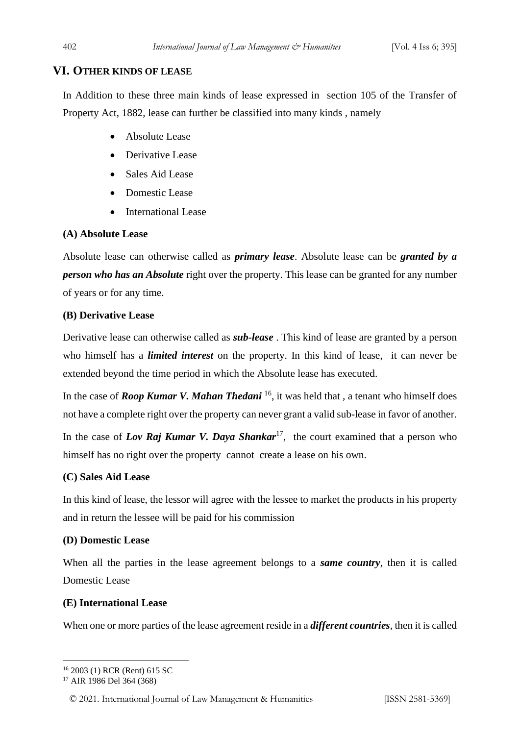# **VI. OTHER KINDS OF LEASE**

In Addition to these three main kinds of lease expressed in section 105 of the Transfer of Property Act, 1882, lease can further be classified into many kinds , namely

- Absolute Lease
- Derivative Lease
- Sales Aid Lease
- Domestic Lease
- International Lease

#### **(A) Absolute Lease**

Absolute lease can otherwise called as *primary lease*. Absolute lease can be *granted by a person who has an Absolute* right over the property. This lease can be granted for any number of years or for any time.

#### **(B) Derivative Lease**

Derivative lease can otherwise called as *sub-lease* . This kind of lease are granted by a person who himself has a *limited interest* on the property. In this kind of lease, it can never be extended beyond the time period in which the Absolute lease has executed.

In the case of *Roop Kumar V. Mahan Thedani* <sup>16</sup>, it was held that , a tenant who himself does not have a complete right over the property can never grant a valid sub-lease in favor of another.

In the case of *Lov Raj Kumar V. Daya Shankar*<sup>17</sup>, the court examined that a person who himself has no right over the property cannot create a lease on his own.

# **(C) Sales Aid Lease**

In this kind of lease, the lessor will agree with the lessee to market the products in his property and in return the lessee will be paid for his commission

# **(D) Domestic Lease**

When all the parties in the lease agreement belongs to a *same country*, then it is called Domestic Lease

#### **(E) International Lease**

When one or more parties of the lease agreement reside in a *different countries*, then it is called

<sup>16</sup> 2003 (1) RCR (Rent) 615 SC

<sup>17</sup> AIR 1986 Del 364 (368)

<sup>© 2021.</sup> International Journal of [Law Management & Humanities](https://www.ijlmh.com/) [ISSN 2581-5369]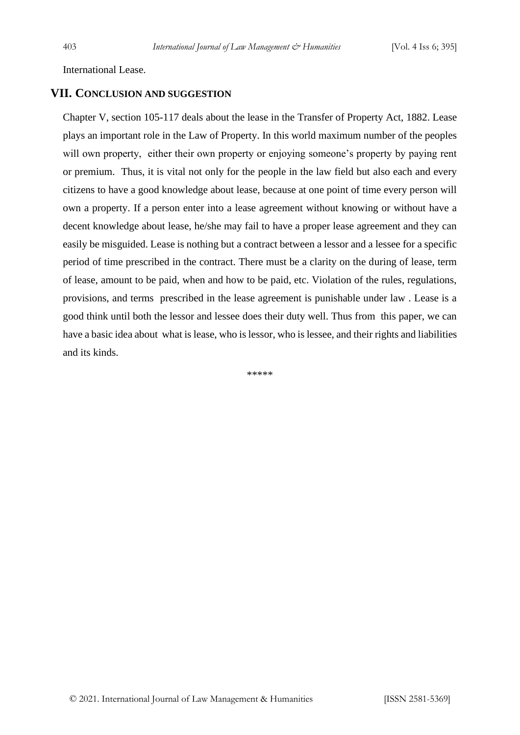International Lease.

#### **VII. CONCLUSION AND SUGGESTION**

Chapter V, section 105-117 deals about the lease in the Transfer of Property Act, 1882. Lease plays an important role in the Law of Property. In this world maximum number of the peoples will own property, either their own property or enjoying someone's property by paying rent or premium. Thus, it is vital not only for the people in the law field but also each and every citizens to have a good knowledge about lease, because at one point of time every person will own a property. If a person enter into a lease agreement without knowing or without have a decent knowledge about lease, he/she may fail to have a proper lease agreement and they can easily be misguided. Lease is nothing but a contract between a lessor and a lessee for a specific period of time prescribed in the contract. There must be a clarity on the during of lease, term of lease, amount to be paid, when and how to be paid, etc. Violation of the rules, regulations, provisions, and terms prescribed in the lease agreement is punishable under law . Lease is a good think until both the lessor and lessee does their duty well. Thus from this paper, we can have a basic idea about what is lease, who is lessor, who is lessee, and their rights and liabilities and its kinds.

\*\*\*\*\*